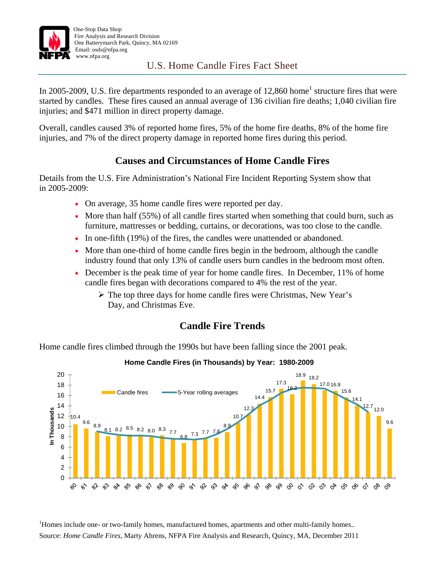

In 2005-2009, U.S. fire departments responded to an average of  $12,860$  home<sup>1</sup> structure fires that were started by candles. These fires caused an annual average of 136 civilian fire deaths; 1,040 civilian fire injuries; and \$471 million in direct property damage.

Overall, candles caused 3% of reported home fires, 5% of the home fire deaths, 8% of the home fire injuries, and 7% of the direct property damage in reported home fires during this period.

## **Causes and Circumstances of Home Candle Fires**

Details from the U.S. Fire Administration's National Fire Incident Reporting System show that in 2005-2009:

- On average, 35 home candle fires were reported per day.
- More than half (55%) of all candle fires started when something that could burn, such as furniture, mattresses or bedding, curtains, or decorations, was too close to the candle.
- In one-fifth (19%) of the fires, the candles were unattended or abandoned.
- More than one-third of home candle fires begin in the bedroom, although the candle industry found that only 13% of candle users burn candles in the bedroom most often.
- December is the peak time of year for home candle fires. In December, 11% of home candle fires began with decorations compared to 4% the rest of the year.
	- ¾ The top three days for home candle fires were Christmas, New Year's Day, and Christmas Eve.

## **Candle Fire Trends**

Home candle fires climbed through the 1990s but have been falling since the 2001 peak.



## **Home Candle Fires (in Thousands) by Year: 1980-2009**

<sup>1</sup>Homes include one- or two-family homes, manufactured homes, apartments and other multi-family homes.. Source: *Home Candle Fires,* Marty Ahrens, NFPA Fire Analysis and Research, Quincy, MA, December 2011